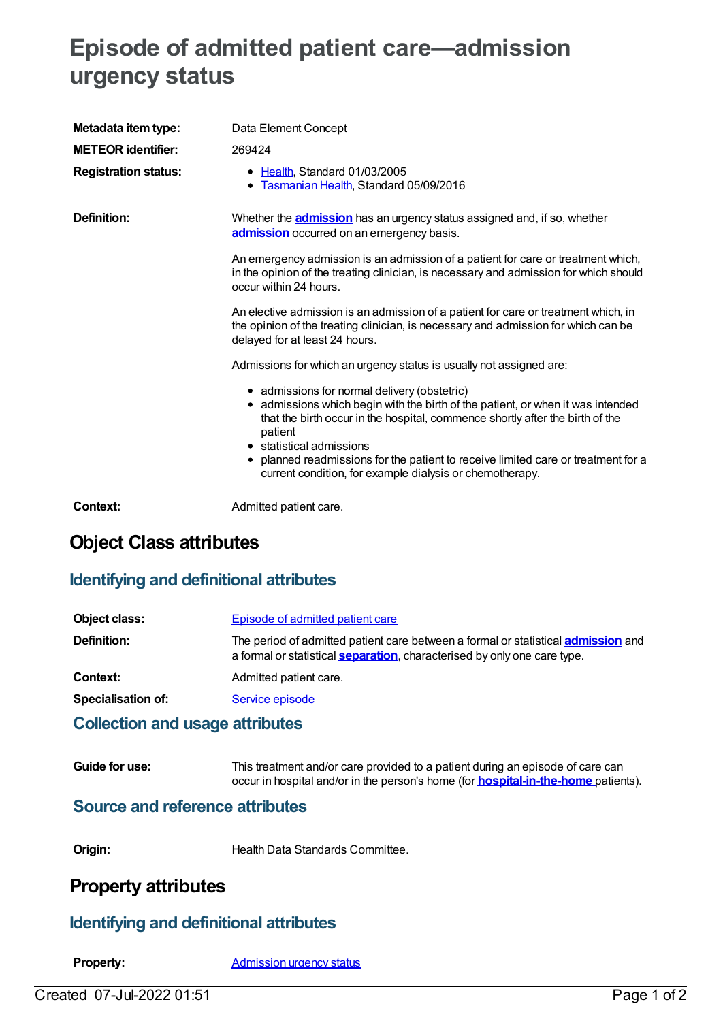# **Episode of admitted patient care—admission urgency status**

| Metadata item type:<br><b>METEOR identifier:</b><br><b>Registration status:</b> | Data Element Concept<br>269424<br>• Health, Standard 01/03/2005<br>Tasmanian Health, Standard 05/09/2016<br>$\bullet$                                                                                                                                                                                                                                                                                                                                                                                                                                                                                                                                                                                                                                                                                                                                                                                                                                                                                                              |
|---------------------------------------------------------------------------------|------------------------------------------------------------------------------------------------------------------------------------------------------------------------------------------------------------------------------------------------------------------------------------------------------------------------------------------------------------------------------------------------------------------------------------------------------------------------------------------------------------------------------------------------------------------------------------------------------------------------------------------------------------------------------------------------------------------------------------------------------------------------------------------------------------------------------------------------------------------------------------------------------------------------------------------------------------------------------------------------------------------------------------|
| <b>Definition:</b>                                                              | Whether the <b>admission</b> has an urgency status assigned and, if so, whether<br>admission occurred on an emergency basis.<br>An emergency admission is an admission of a patient for care or treatment which,<br>in the opinion of the treating clinician, is necessary and admission for which should<br>occur within 24 hours.<br>An elective admission is an admission of a patient for care or treatment which, in<br>the opinion of the treating clinician, is necessary and admission for which can be<br>delayed for at least 24 hours.<br>Admissions for which an urgency status is usually not assigned are:<br>• admissions for normal delivery (obstetric)<br>• admissions which begin with the birth of the patient, or when it was intended<br>that the birth occur in the hospital, commence shortly after the birth of the<br>patient<br>• statistical admissions<br>planned readmissions for the patient to receive limited care or treatment for a<br>current condition, for example dialysis or chemotherapy. |
| Context:                                                                        | Admitted patient care.                                                                                                                                                                                                                                                                                                                                                                                                                                                                                                                                                                                                                                                                                                                                                                                                                                                                                                                                                                                                             |

# **Object Class attributes**

### **Identifying and definitional attributes**

| Object class:             | Episode of admitted patient care                                                                                                                                             |
|---------------------------|------------------------------------------------------------------------------------------------------------------------------------------------------------------------------|
| Definition:               | The period of admitted patient care between a formal or statistical <b>admission</b> and<br>a formal or statistical <b>separation</b> , characterised by only one care type. |
| Context:                  | Admitted patient care.                                                                                                                                                       |
| <b>Specialisation of:</b> | Service episode                                                                                                                                                              |
|                           |                                                                                                                                                                              |

#### **Collection and usage attributes**

| Guide for use: | This treatment and/or care provided to a patient during an episode of care can            |
|----------------|-------------------------------------------------------------------------------------------|
|                | occur in hospital and/or in the person's home (for <b>hospital-in-the-home</b> patients). |

### **Source and reference attributes**

**Origin:** Health Data Standards Committee.

## **Property attributes**

### **Identifying and definitional attributes**

**Property:** [Admission](https://meteor.aihw.gov.au/content/269032) urgency status